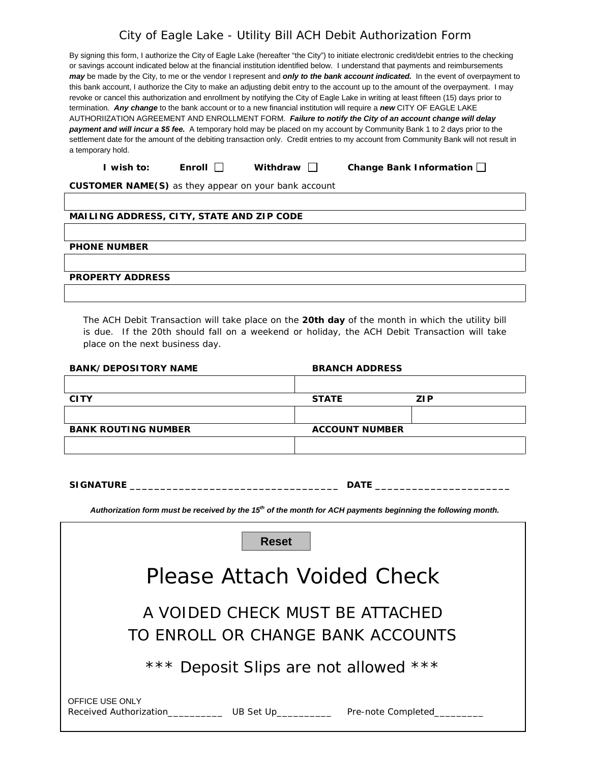## City of Eagle Lake - Utility Bill ACH Debit Authorization Form

| I wish to:                                                                                                                            | Enroll | Withdraw | Change Bank Information $\square$                                                                                                           |  |  |  |
|---------------------------------------------------------------------------------------------------------------------------------------|--------|----------|---------------------------------------------------------------------------------------------------------------------------------------------|--|--|--|
| a temporary hold.                                                                                                                     |        |          |                                                                                                                                             |  |  |  |
| settlement date for the amount of the debiting transaction only. Credit entries to my account from Community Bank will not result in  |        |          |                                                                                                                                             |  |  |  |
| payment and will incur a \$5 fee. A temporary hold may be placed on my account by Community Bank 1 to 2 days prior to the             |        |          |                                                                                                                                             |  |  |  |
|                                                                                                                                       |        |          | AUTHORIIZATION AGREEMENT AND ENROLLMENT FORM. Failure to notify the City of an account change will delay                                    |  |  |  |
| termination. Any change to the bank account or to a new financial institution will require a new CITY OF EAGLE LAKE                   |        |          |                                                                                                                                             |  |  |  |
| revoke or cancel this authorization and enrollment by notifying the City of Eagle Lake in writing at least fifteen (15) days prior to |        |          |                                                                                                                                             |  |  |  |
| this bank account, I authorize the City to make an adjusting debit entry to the account up to the amount of the overpayment. I may    |        |          |                                                                                                                                             |  |  |  |
|                                                                                                                                       |        |          | may be made by the City, to me or the vendor I represent and only to the bank account indicated. In the event of overpayment to             |  |  |  |
| or savings account indicated below at the financial institution identified below. I understand that payments and reimbursements       |        |          |                                                                                                                                             |  |  |  |
|                                                                                                                                       |        |          | By signing this form, I authorize the City of Eagle Lake (hereafter "the City") to initiate electronic credit/debit entries to the checking |  |  |  |

**CUSTOMER NAME(S)** *as they appear on your bank account*

#### **MAILING ADDRESS, CITY, STATE AND ZIP CODE**

**PHONE NUMBER**

**PROPERTY ADDRESS**

The ACH Debit Transaction will take place on the **20th day** of the month in which the utility bill is due. If the 20th should fall on a weekend or holiday, the ACH Debit Transaction will take place on the next business day.

| <b>BANK/DEPOSITORY NAME</b>                                                                                              | <b>BRANCH ADDRESS</b> |                                                                                                                 |  |  |  |
|--------------------------------------------------------------------------------------------------------------------------|-----------------------|-----------------------------------------------------------------------------------------------------------------|--|--|--|
|                                                                                                                          |                       |                                                                                                                 |  |  |  |
| <b>CITY</b>                                                                                                              | <b>STATE</b>          | ZIP.                                                                                                            |  |  |  |
|                                                                                                                          |                       |                                                                                                                 |  |  |  |
| <b>BANK ROUTING NUMBER</b>                                                                                               | <b>ACCOUNT NUMBER</b> |                                                                                                                 |  |  |  |
|                                                                                                                          |                       |                                                                                                                 |  |  |  |
|                                                                                                                          |                       |                                                                                                                 |  |  |  |
| SIGNATURE <b>And the SIGNATURE</b>                                                                                       |                       | DATE And the state of the state of the state of the state of the state of the state of the state of the state o |  |  |  |
|                                                                                                                          |                       |                                                                                                                 |  |  |  |
| Authorization form must be received by the 15 <sup>th</sup> of the month for ACH payments beginning the following month. |                       |                                                                                                                 |  |  |  |
| <b>Reset</b>                                                                                                             |                       |                                                                                                                 |  |  |  |
| Please Attach Voided Check                                                                                               |                       |                                                                                                                 |  |  |  |
| A VOIDED CHECK MUST BE ATTACHED<br>TO ENROLL OR CHANGE BANK ACCOUNTS                                                     |                       |                                                                                                                 |  |  |  |
| *** Deposit Slips are not allowed ***                                                                                    |                       |                                                                                                                 |  |  |  |
| OFFICE USE ONLY                                                                                                          |                       |                                                                                                                 |  |  |  |

Received Authorization\_\_\_\_\_\_\_\_\_\_\_\_\_\_ UB Set Up\_\_\_\_\_\_\_\_\_\_\_\_\_\_ Pre-note Completed\_\_\_\_\_\_\_\_\_\_\_